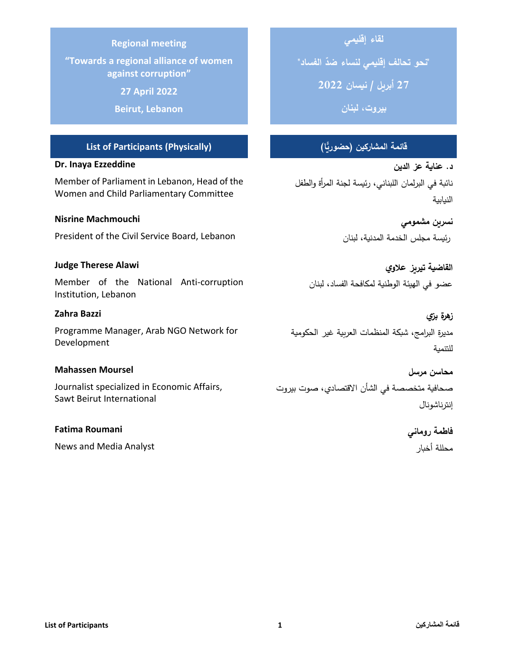#### **Regional meeting**

**"Towards a regional alliance of women against corruption"**

**27 April 2022**

**Beirut, Lebanon**

## **قائمة المشاركين )حضورًّيا( (Physically (Participants of List**

#### **Dr. Inaya Ezzeddine**

Member of Parliament in Lebanon, Head of the Women and Child Parliamentary Committee

#### **Nisrine Machmouchi**

President of the Civil Service Board, Lebanon

#### **Judge Therese Alawi**

Member of the National Anti-corruption Institution, Lebanon

#### **Zahra Bazzi**

Programme Manager, Arab NGO Network for Development

### **Mahassen Moursel**

Journalist specialized in Economic Affairs, Sawt Beirut International

#### **Fatima Roumani**

News and Media Analyst

# **لقاء إقليمي**

**" "نحو تحالف إقليمي لنساء ضد الفساد**

**27 أبريل / نيسان 2022**

**بيروت ، لبنان** 

**د. عناية عز الدين**  نائبة في البرلمان اللبناني، ر ئيسة لجنة المرأة والطفل النيابية

# **نسرين مشمومي**  رئيسة مجلس الخدمة المدنية، لبنان

**القاضية تيريز عالوي** عضو في الهيئة الوطنية لمكافحة الفساد، لبنان

**زهرة بزي** مديرة البرامج، شبكة المنظمات العربية غير الحكومية للتنمية

**محاسن مرسل**  صحافية متخصصة في الشأن االقتصادي، صوت بيروت إنترناشونال

> **فاطمة روماني**  محللة أخبار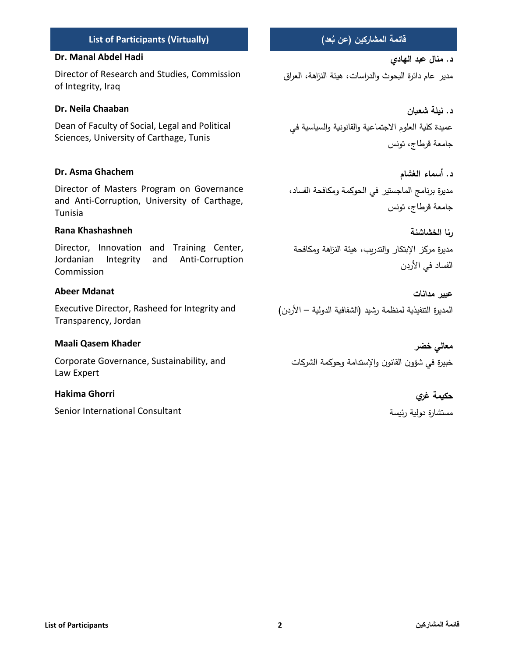#### **List of Participants 2 المشاركين قائمة**

#### **List of Participants (Virtually)**

#### **Dr. Manal Abdel Hadi**

Director of Research and Studies, Commission of Integrity, Iraq

#### **Dr. Neila Chaaban**

Dean of Faculty of Social, Legal and Political Sciences, University of Carthage, Tunis

#### **Dr. Asma Ghachem**

Director of Masters Program on Governance and Anti-Corruption, University of Carthage, Tunisia

#### **Rana Khashashneh**

Director, Innovation and Training Center, Jordanian Integrity and Anti-Corruption Commission

#### **Abeer Mdanat**

Executive Director, Rasheed for Integrity and Transparency, Jordan

#### **Maali Qasem Khader**

Corporate Governance, Sustainability, and Law Expert

#### **Hakima Ghorri**

Senior International Consultant

# **ُ عن ب (**

**د. منال عبد الهادي**  مدير عام دائرة البحوث والدراسات، هيئة النزاهة، العراق

**د. نيلة شعبان** عميدة كلية العلوم الاجتماعية والقانونية والسياسية في جامعة قرطاج، تونس

**د. أسماء الغشام**  مديرة برنامج الماجستير في الحوكمة ومكافحة الفساد، جامعة قرطاج، تونس

**رنا الخشاشنة** مديرة مركز اإلبتكار والتدريب، هيئة النزاهة ومكافحة الفساد في الأردن

**عبير مدانات** المديرة التنفيذية لمنظمة رشيد (الشفافية الدولية – الأردن)

**معالي خضر**  خبيرة في شؤون القانون واإلستدامة وحوكمة الشركات

# **حكيمة غري**

مستشارة دولية رئيسة